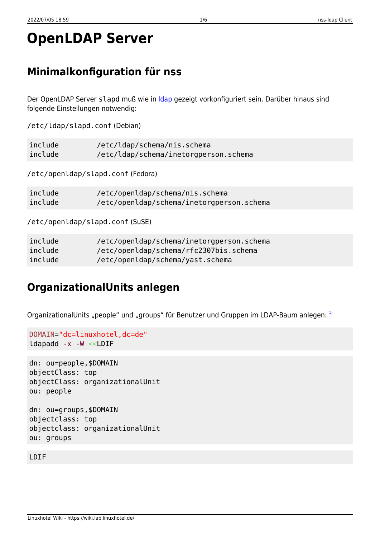# **OpenLDAP Server**

# Minimalkonfiguration für nss

Der OpenLDAP Server slapd muß wie in Idap gezeigt vorkonfiguriert sein. Darüber hinaus sind folgende Einstellungen notwendig:

/etc/ldap/slapd.conf (Debian)

| include                          | /etc/ldap/schema/nis.schema               |
|----------------------------------|-------------------------------------------|
| include                          | /etc/ldap/schema/inetorgperson.schema     |
| /etc/openldap/slapd.conf(Fedora) |                                           |
| include                          | /etc/openldap/schema/nis.schema           |
| include                          | /etc/openldap/schema/inetorgperson.schema |
| /etc/openldap/slapd.conf(SuSE)   |                                           |

| include | /etc/openldap/schema/inetorgperson.schema |
|---------|-------------------------------------------|
| include | /etc/openldap/schema/rfc2307bis.schema    |
| include | /etc/openldap/schema/yast.schema          |

# **OrganizationalUnits anlegen**

OrganizationalUnits "people" und "groups" für Benutzer und Gruppen im LDAP-Baum anlegen: 1)

```
DOMAIN="dc=linuxhotel,dc=de"
ldapadd -x -W <<LDIF
```

```
dn: ou=people, $DOMAIN
objectClass: top
objectClass: organizationalUnit
ou: people
dn: ou=groups, $DOMAIN
objectclass: top
objectclass: organizationalUnit
```
#### LDIF

ou: groups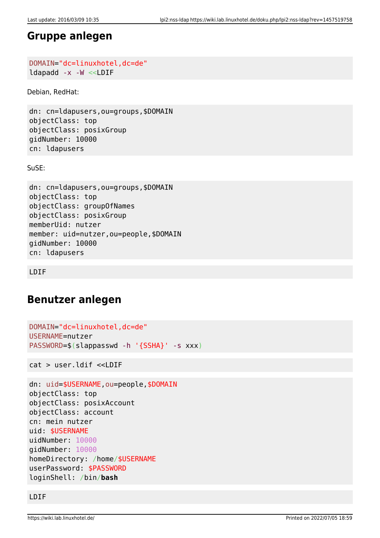### **Gruppe anlegen**

```
DOMAIN="dc=linuxhotel,dc=de"
ldapadd -x -W <<LDIF
```
Debian, RedHat:

dn: cn=ldapusers,ou=groups,\$DOMAIN objectClass: top objectClass: posixGroup gidNumber: 10000 cn: ldapusers

SuSE:

```
dn: cn=ldapusers,ou=groups,$DOMAIN
objectClass: top
objectClass: groupOfNames
objectClass: posixGroup
memberUid: nutzer
member: uid=nutzer,ou=people,$DOMAIN
gidNumber: 10000
cn: ldapusers
```
LDIF

## **Benutzer anlegen**

```
DOMAIN="dc=linuxhotel,dc=de"
USERNAME=nutzer
PASSWORD=$(slappasswd -h '{SSHA}' -s xxx)
```
cat > user.ldif <<LDIF

```
dn: uid=$USERNAME,ou=people,$DOMAIN
objectClass: top
objectClass: posixAccount
objectClass: account
cn: mein nutzer
uid: $USERNAME
uidNumber: 10000
gidNumber: 10000
homeDirectory: /home/$USERNAME
userPassword: $PASSWORD
loginShell: /bin/bash
```
LDIF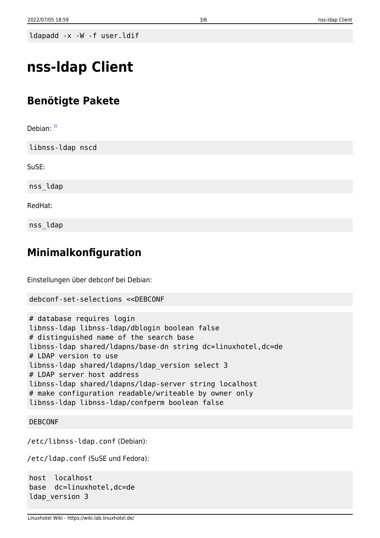ldapadd -x -W -f user.ldif

# **nss-ldap Client**

# **Benötigte Pakete**

Debian:  $^{2)}$  $^{2)}$  $^{2)}$ 

libnss-ldap nscd

SuSE:

nss\_ldap

RedHat:

nss\_ldap

## **Minimalkonfiguration**

Einstellungen über debconf bei Debian:

```
debconf-set-selections <<DEBCONF
```

```
# database requires login
libnss-ldap libnss-ldap/dblogin boolean false
# distinguished name of the search base
libnss-ldap shared/ldapns/base-dn string dc=linuxhotel,dc=de
# LDAP version to use
libnss-ldap shared/ldapns/ldap_version select 3
# LDAP server host address
libnss-ldap shared/ldapns/ldap-server string localhost
# make configuration readable/writeable by owner only
libnss-ldap libnss-ldap/confperm boolean false
```
#### DEBCONF

/etc/libnss-ldap.conf (Debian):

/etc/ldap.conf (SuSE und Fedora):

```
host localhost
base dc=linuxhotel,dc=de
ldap_version 3
```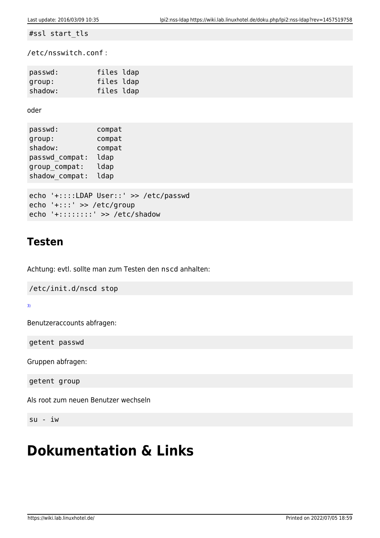#ssl start\_tls

/etc/nsswitch.conf :

| passwd: | files ldap |  |
|---------|------------|--|
| group:  | files ldap |  |
| shadow: | files ldap |  |

oder

| passwd:        | compat |
|----------------|--------|
| group:         | compat |
| shadow:        | compat |
| passwd compat: | ldap   |
| group_compat:  | ldap   |
| shadow_compat: | ldap   |
|                |        |

```
echo '+::::LDAP User::' >> /etc/passwd
echo '+:::' >> /etc/group
echo '+::::::::' >> /etc/shadow
```
### **Testen**

Achtung: evtl. sollte man zum Testen den nscd anhalten:

/etc/init.d/nscd stop

[3\)](#page--1-0)

Benutzeraccounts abfragen:

getent passwd

Gruppen abfragen:

getent group

Als root zum neuen Benutzer wechseln

su - iw

# **Dokumentation & Links**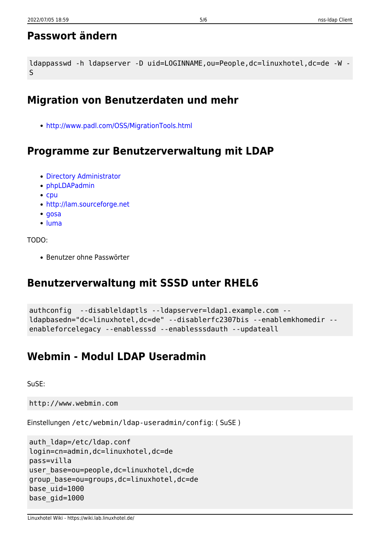# **Passwort ändern**

```
ldappasswd -h ldapserver -D uid=LOGINNAME,ou=People,dc=linuxhotel,dc=de -W -
S
```
# **Migration von Benutzerdaten und mehr**

<http://www.padl.com/OSS/MigrationTools.html>

## **Programme zur Benutzerverwaltung mit LDAP**

- [Directory Administrator](http://diradmin.open-it.org)
- [phpLDAPadmin](http://phpldapadmin.sourceforge.net)
- $\bullet$  [cpu](http://cpu.sourceforge.net)
- <http://lam.sourceforge.net>
- $\cdot$  [gosa](https://gosa.gonicus.de)
- [luma](http://luma.sourceforge.net/)

```
TODO:
```
• Benutzer ohne Passwörter

## **Benutzerverwaltung mit SSSD unter RHEL6**

```
authconfig --disableldaptls --ldapserver=ldap1.example.com --
ldapbasedn="dc=linuxhotel,dc=de" --disablerfc2307bis --enablemkhomedir --
enableforcelegacy --enablesssd --enablesssdauth --updateall
```
# **Webmin - Modul LDAP Useradmin**

SuSE:

http://www.webmin.com

Einstellungen /etc/webmin/ldap-useradmin/config: ( SuSE )

```
auth_ldap=/etc/ldap.conf
login=cn=admin,dc=linuxhotel,dc=de
pass=villa
user_base=ou=people,dc=linuxhotel,dc=de
group_base=ou=groups,dc=linuxhotel,dc=de
base_uid=1000
base_gid=1000
```